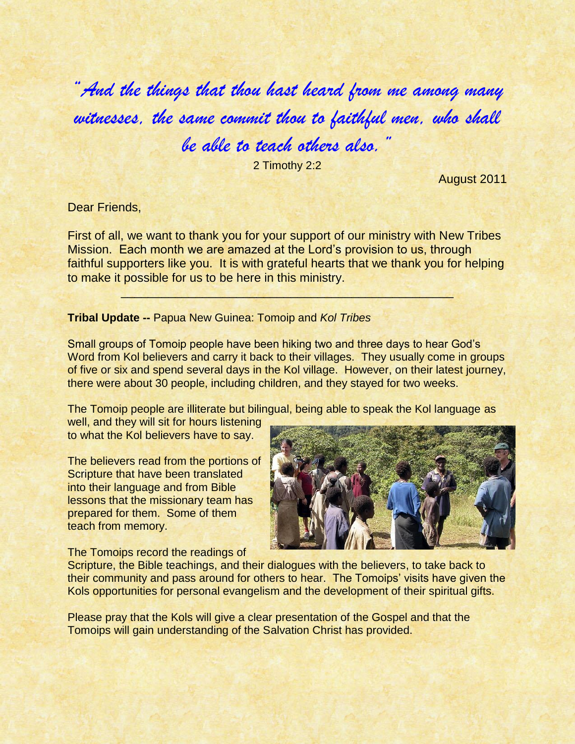*"And the things that thou hast heard from me among many witnesses, the same commit thou to faithful men, who shall be able to teach others also."*

2 Timothy 2:2

August 2011

## Dear Friends,

First of all, we want to thank you for your support of our ministry with New Tribes Mission. Each month we are amazed at the Lord's provision to us, through faithful supporters like you. It is with grateful hearts that we thank you for helping to make it possible for us to be here in this ministry.

 $\mathcal{L}(\mathcal{L})=\mathcal{L}(\mathcal{L})=\mathcal{L}(\mathcal{L})=\mathcal{L}(\mathcal{L})=\mathcal{L}(\mathcal{L})=\mathcal{L}(\mathcal{L})=\mathcal{L}(\mathcal{L})=\mathcal{L}(\mathcal{L})$ 

## **Tribal Update --** Papua New Guinea: Tomoip and *Kol Tribes*

Small groups of Tomoip people have been hiking two and three days to hear God's Word from Kol believers and carry it back to their villages. They usually come in groups of five or six and spend several days in the Kol village. However, on their latest journey, there were about 30 people, including children, and they stayed for two weeks.

The Tomoip people are illiterate but bilingual, being able to speak the Kol language as

well, and they will sit for hours listening to what the Kol believers have to say.

The believers read from the portions of Scripture that have been translated into their language and from Bible lessons that the missionary team has prepared for them. Some of them teach from memory.

The Tomoips record the readings of

Scripture, the Bible teachings, and their dialogues with the believers, to take back to their community and pass around for others to hear. The Tomoips' visits have given the Kols opportunities for personal evangelism and the development of their spiritual gifts.

Please pray that the Kols will give a clear presentation of the Gospel and that the Tomoips will gain understanding of the Salvation Christ has provided.